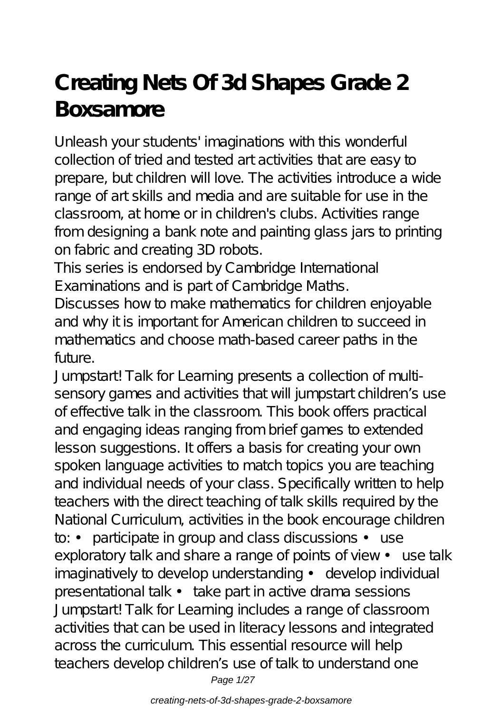## **Creating Nets Of 3d Shapes Grade 2 Boxsamore**

Unleash your students' imaginations with this wonderful collection of tried and tested art activities that are easy to prepare, but children will love. The activities introduce a wide range of art skills and media and are suitable for use in the classroom, at home or in children's clubs. Activities range from designing a bank note and painting glass jars to printing on fabric and creating 3D robots.

This series is endorsed by Cambridge International Examinations and is part of Cambridge Maths.

Discusses how to make mathematics for children enjoyable and why it is important for American children to succeed in mathematics and choose math-based career paths in the future.

Jumpstart! Talk for Learning presents a collection of multisensory games and activities that will jumpstart children's use of effective talk in the classroom. This book offers practical and engaging ideas ranging from brief games to extended lesson suggestions. It offers a basis for creating your own spoken language activities to match topics you are teaching and individual needs of your class. Specifically written to help teachers with the direct teaching of talk skills required by the National Curriculum, activities in the book encourage children to: • participate in group and class discussions • use exploratory talk and share a range of points of view • use talk imaginatively to develop understanding • develop individual presentational talk • take part in active drama sessions Jumpstart! Talk for Learning includes a range of classroom activities that can be used in literacy lessons and integrated across the curriculum. This essential resource will help teachers develop children's use of talk to understand one Page 1/27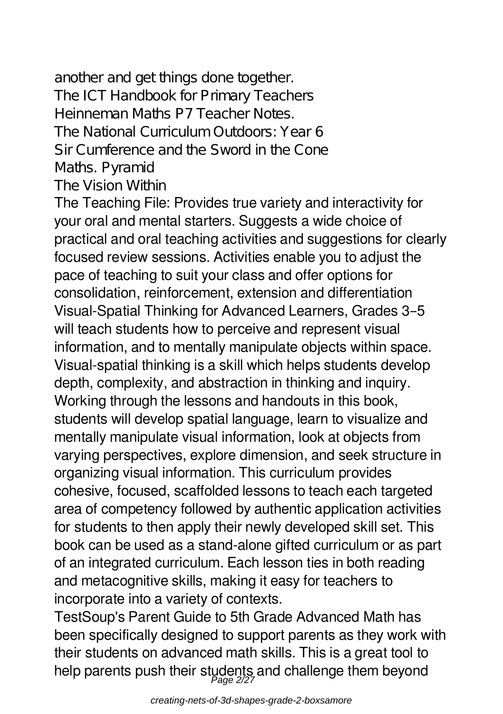another and get things done together. The ICT Handbook for Primary Teachers Heinneman Maths P7 Teacher Notes. The National Curriculum Outdoors: Year 6 Sir Cumference and the Sword in the Cone Maths. Pyramid The Vision Within

The Teaching File: Provides true variety and interactivity for your oral and mental starters. Suggests a wide choice of practical and oral teaching activities and suggestions for clearly focused review sessions. Activities enable you to adjust the pace of teaching to suit your class and offer options for consolidation, reinforcement, extension and differentiation Visual-Spatial Thinking for Advanced Learners, Grades 3–5 will teach students how to perceive and represent visual information, and to mentally manipulate objects within space. Visual-spatial thinking is a skill which helps students develop depth, complexity, and abstraction in thinking and inquiry. Working through the lessons and handouts in this book, students will develop spatial language, learn to visualize and mentally manipulate visual information, look at objects from varying perspectives, explore dimension, and seek structure in organizing visual information. This curriculum provides cohesive, focused, scaffolded lessons to teach each targeted area of competency followed by authentic application activities for students to then apply their newly developed skill set. This book can be used as a stand-alone gifted curriculum or as part of an integrated curriculum. Each lesson ties in both reading and metacognitive skills, making it easy for teachers to incorporate into a variety of contexts.

TestSoup's Parent Guide to 5th Grade Advanced Math has been specifically designed to support parents as they work with their students on advanced math skills. This is a great tool to help parents push their students and challenge them beyond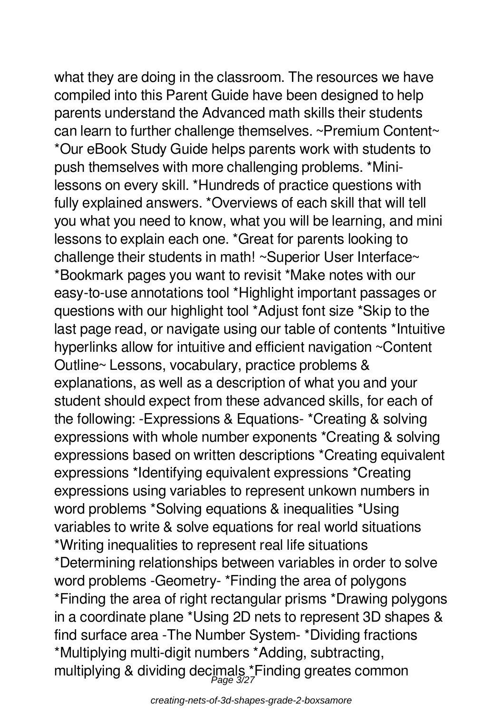what they are doing in the classroom. The resources we have compiled into this Parent Guide have been designed to help parents understand the Advanced math skills their students can learn to further challenge themselves. ~Premium Content~ \*Our eBook Study Guide helps parents work with students to push themselves with more challenging problems. \*Minilessons on every skill. \*Hundreds of practice questions with fully explained answers. \*Overviews of each skill that will tell you what you need to know, what you will be learning, and mini lessons to explain each one. \*Great for parents looking to challenge their students in math! ~Superior User Interface~ \*Bookmark pages you want to revisit \*Make notes with our easy-to-use annotations tool \*Highlight important passages or questions with our highlight tool \*Adjust font size \*Skip to the last page read, or navigate using our table of contents \*Intuitive hyperlinks allow for intuitive and efficient navigation ~Content Outline~ Lessons, vocabulary, practice problems & explanations, as well as a description of what you and your student should expect from these advanced skills, for each of the following: -Expressions & Equations- \*Creating & solving expressions with whole number exponents \*Creating & solving expressions based on written descriptions \*Creating equivalent expressions \*Identifying equivalent expressions \*Creating expressions using variables to represent unkown numbers in word problems \*Solving equations & inequalities \*Using variables to write & solve equations for real world situations \*Writing inequalities to represent real life situations \*Determining relationships between variables in order to solve word problems -Geometry- \*Finding the area of polygons \*Finding the area of right rectangular prisms \*Drawing polygons in a coordinate plane \*Using 2D nets to represent 3D shapes & find surface area -The Number System- \*Dividing fractions \*Multiplying multi-digit numbers \*Adding, subtracting, multiplying & dividing decimals \*Finding greates common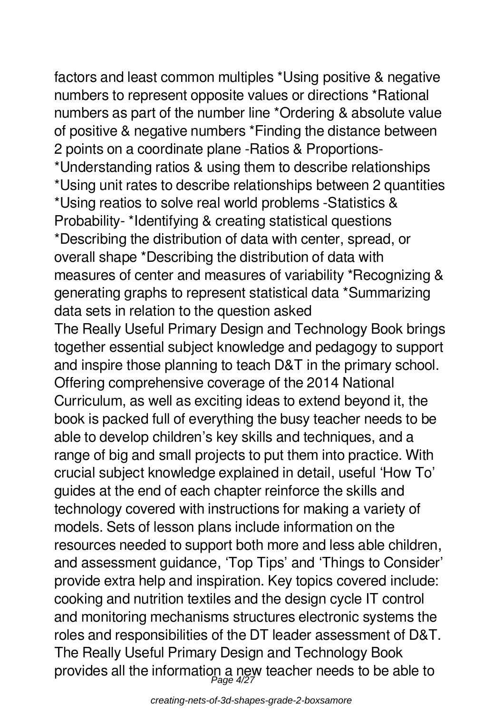factors and least common multiples \*Using positive & negative numbers to represent opposite values or directions \*Rational numbers as part of the number line \*Ordering & absolute value of positive & negative numbers \*Finding the distance between 2 points on a coordinate plane -Ratios & Proportions- \*Understanding ratios & using them to describe relationships \*Using unit rates to describe relationships between 2 quantities \*Using reatios to solve real world problems -Statistics & Probability- \*Identifying & creating statistical questions \*Describing the distribution of data with center, spread, or overall shape \*Describing the distribution of data with measures of center and measures of variability \*Recognizing & generating graphs to represent statistical data \*Summarizing data sets in relation to the question asked The Really Useful Primary Design and Technology Book brings together essential subject knowledge and pedagogy to support and inspire those planning to teach D&T in the primary school. Offering comprehensive coverage of the 2014 National Curriculum, as well as exciting ideas to extend beyond it, the book is packed full of everything the busy teacher needs to be able to develop children's key skills and techniques, and a range of big and small projects to put them into practice. With crucial subject knowledge explained in detail, useful 'How To' guides at the end of each chapter reinforce the skills and technology covered with instructions for making a variety of models. Sets of lesson plans include information on the resources needed to support both more and less able children, and assessment guidance, 'Top Tips' and 'Things to Consider' provide extra help and inspiration. Key topics covered include: cooking and nutrition textiles and the design cycle IT control and monitoring mechanisms structures electronic systems the roles and responsibilities of the DT leader assessment of D&T. The Really Useful Primary Design and Technology Book provides all the information a new teacher needs to be able to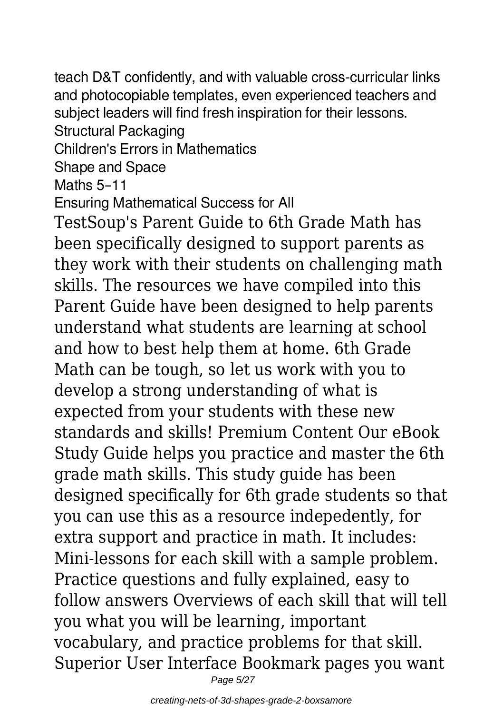teach D&T confidently, and with valuable cross-curricular links and photocopiable templates, even experienced teachers and subject leaders will find fresh inspiration for their lessons. Structural Packaging Children's Errors in Mathematics Shape and Space Maths 5–11 Ensuring Mathematical Success for All TestSoup's Parent Guide to 6th Grade Math has been specifically designed to support parents as they work with their students on challenging math skills. The resources we have compiled into this Parent Guide have been designed to help parents understand what students are learning at school and how to best help them at home. 6th Grade Math can be tough, so let us work with you to develop a strong understanding of what is expected from your students with these new standards and skills! Premium Content Our eBook Study Guide helps you practice and master the 6th

grade math skills. This study guide has been designed specifically for 6th grade students so that you can use this as a resource indepedently, for extra support and practice in math. It includes: Mini-lessons for each skill with a sample problem. Practice questions and fully explained, easy to follow answers Overviews of each skill that will tell you what you will be learning, important vocabulary, and practice problems for that skill. Superior User Interface Bookmark pages you want

Page 5/27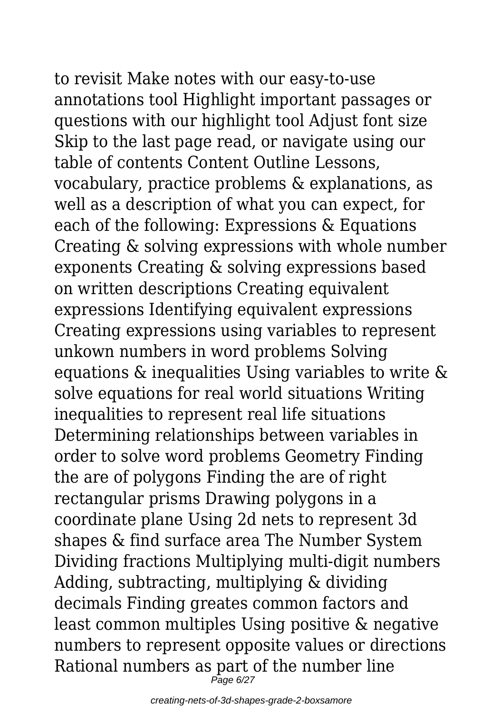to revisit Make notes with our easy-to-use annotations tool Highlight important passages or questions with our highlight tool Adjust font size Skip to the last page read, or navigate using our table of contents Content Outline Lessons, vocabulary, practice problems & explanations, as well as a description of what you can expect, for each of the following: Expressions & Equations Creating & solving expressions with whole number exponents Creating & solving expressions based on written descriptions Creating equivalent expressions Identifying equivalent expressions Creating expressions using variables to represent unkown numbers in word problems Solving equations & inequalities Using variables to write & solve equations for real world situations Writing inequalities to represent real life situations Determining relationships between variables in order to solve word problems Geometry Finding the are of polygons Finding the are of right rectangular prisms Drawing polygons in a coordinate plane Using 2d nets to represent 3d shapes & find surface area The Number System Dividing fractions Multiplying multi-digit numbers Adding, subtracting, multiplying & dividing decimals Finding greates common factors and least common multiples Using positive & negative numbers to represent opposite values or directions Rational numbers as part of the number line

 $P$ age 6/27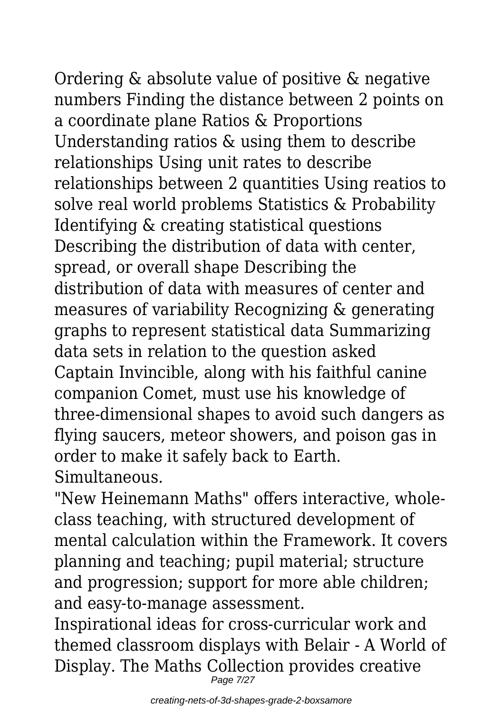Ordering & absolute value of positive & negative numbers Finding the distance between 2 points on a coordinate plane Ratios & Proportions

Understanding ratios & using them to describe relationships Using unit rates to describe relationships between 2 quantities Using reatios to solve real world problems Statistics & Probability Identifying & creating statistical questions Describing the distribution of data with center, spread, or overall shape Describing the distribution of data with measures of center and measures of variability Recognizing & generating graphs to represent statistical data Summarizing data sets in relation to the question asked Captain Invincible, along with his faithful canine companion Comet, must use his knowledge of three-dimensional shapes to avoid such dangers as flying saucers, meteor showers, and poison gas in order to make it safely back to Earth. Simultaneous.

"New Heinemann Maths" offers interactive, wholeclass teaching, with structured development of mental calculation within the Framework. It covers planning and teaching; pupil material; structure and progression; support for more able children; and easy-to-manage assessment.

Inspirational ideas for cross-curricular work and themed classroom displays with Belair - A World of Display. The Maths Collection provides creative Page 7/27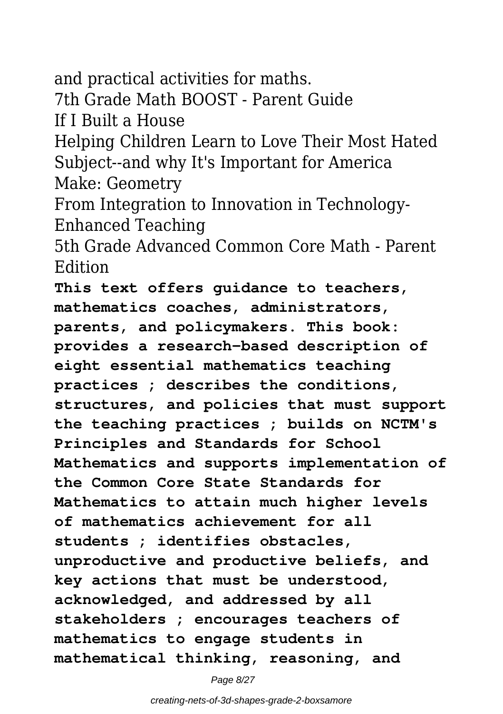and practical activities for maths. 7th Grade Math BOOST - Parent Guide If I Built a House Helping Children Learn to Love Their Most Hated Subject--and why It's Important for America Make: Geometry From Integration to Innovation in Technology-Enhanced Teaching 5th Grade Advanced Common Core Math - Parent Edition **This text offers guidance to teachers, mathematics coaches, administrators, parents, and policymakers. This book: provides a research-based description of eight essential mathematics teaching practices ; describes the conditions, structures, and policies that must support the teaching practices ; builds on NCTM's Principles and Standards for School Mathematics and supports implementation of the Common Core State Standards for Mathematics to attain much higher levels of mathematics achievement for all students ; identifies obstacles, unproductive and productive beliefs, and key actions that must be understood, acknowledged, and addressed by all stakeholders ; encourages teachers of mathematics to engage students in mathematical thinking, reasoning, and**

Page 8/27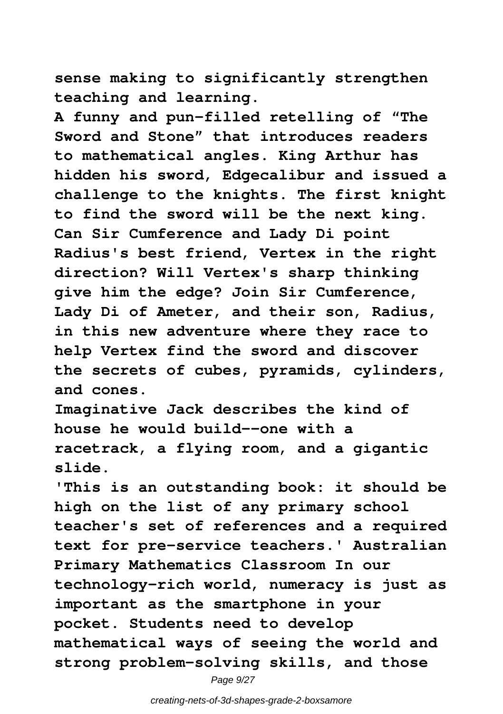**sense making to significantly strengthen teaching and learning.**

**A funny and pun-filled retelling of "The Sword and Stone" that introduces readers to mathematical angles. King Arthur has hidden his sword, Edgecalibur and issued a challenge to the knights. The first knight to find the sword will be the next king. Can Sir Cumference and Lady Di point Radius's best friend, Vertex in the right direction? Will Vertex's sharp thinking give him the edge? Join Sir Cumference, Lady Di of Ameter, and their son, Radius, in this new adventure where they race to help Vertex find the sword and discover the secrets of cubes, pyramids, cylinders, and cones.**

**Imaginative Jack describes the kind of house he would build--one with a racetrack, a flying room, and a gigantic slide.**

**'This is an outstanding book: it should be high on the list of any primary school teacher's set of references and a required text for pre-service teachers.' Australian Primary Mathematics Classroom In our technology-rich world, numeracy is just as important as the smartphone in your pocket. Students need to develop mathematical ways of seeing the world and strong problem-solving skills, and those**

Page 9/27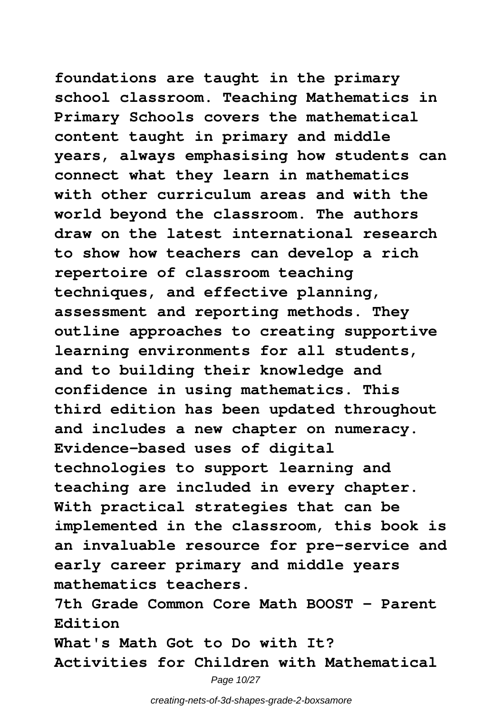**foundations are taught in the primary school classroom. Teaching Mathematics in Primary Schools covers the mathematical content taught in primary and middle years, always emphasising how students can connect what they learn in mathematics with other curriculum areas and with the world beyond the classroom. The authors draw on the latest international research to show how teachers can develop a rich repertoire of classroom teaching techniques, and effective planning, assessment and reporting methods. They outline approaches to creating supportive learning environments for all students, and to building their knowledge and confidence in using mathematics. This third edition has been updated throughout and includes a new chapter on numeracy. Evidence-based uses of digital technologies to support learning and teaching are included in every chapter. With practical strategies that can be implemented in the classroom, this book is**

**an invaluable resource for pre-service and early career primary and middle years mathematics teachers.**

**7th Grade Common Core Math BOOST - Parent Edition**

**What's Math Got to Do with It? Activities for Children with Mathematical**

Page 10/27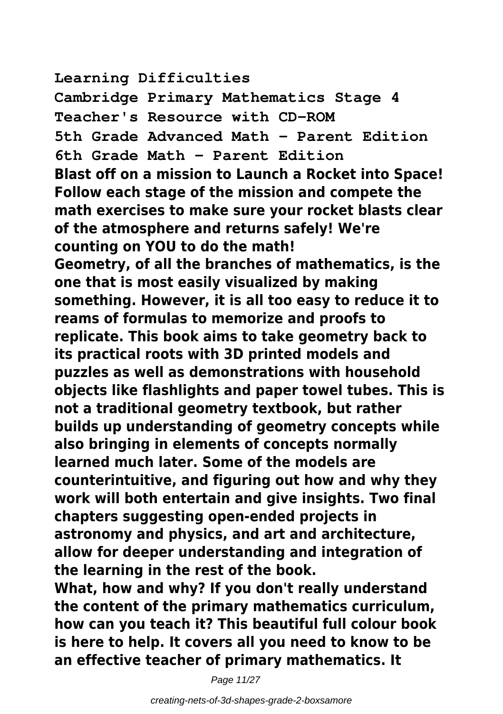**Learning Difficulties**

**Cambridge Primary Mathematics Stage 4 Teacher's Resource with CD-ROM 5th Grade Advanced Math - Parent Edition 6th Grade Math - Parent Edition Blast off on a mission to Launch a Rocket into Space! Follow each stage of the mission and compete the math exercises to make sure your rocket blasts clear of the atmosphere and returns safely! We're counting on YOU to do the math! Geometry, of all the branches of mathematics, is the one that is most easily visualized by making something. However, it is all too easy to reduce it to reams of formulas to memorize and proofs to replicate. This book aims to take geometry back to its practical roots with 3D printed models and puzzles as well as demonstrations with household objects like flashlights and paper towel tubes. This is not a traditional geometry textbook, but rather builds up understanding of geometry concepts while also bringing in elements of concepts normally learned much later. Some of the models are counterintuitive, and figuring out how and why they work will both entertain and give insights. Two final chapters suggesting open-ended projects in astronomy and physics, and art and architecture, allow for deeper understanding and integration of the learning in the rest of the book. What, how and why? If you don't really understand the content of the primary mathematics curriculum, how can you teach it? This beautiful full colour book is here to help. It covers all you need to know to be an effective teacher of primary mathematics. It**

Page 11/27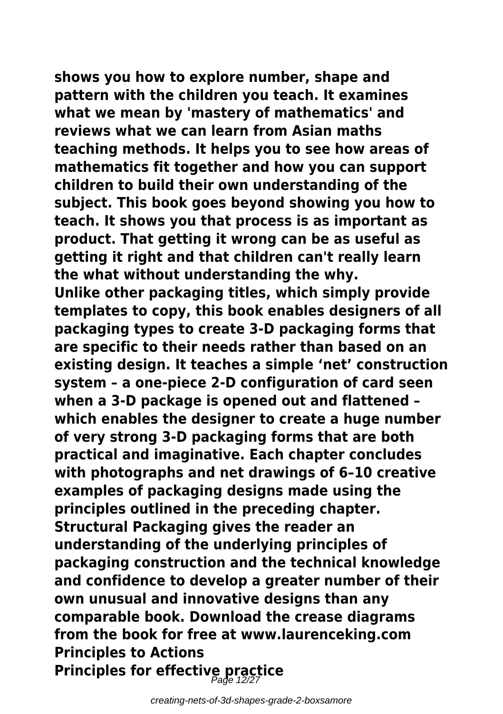**shows you how to explore number, shape and pattern with the children you teach. It examines what we mean by 'mastery of mathematics' and reviews what we can learn from Asian maths teaching methods. It helps you to see how areas of mathematics fit together and how you can support children to build their own understanding of the subject. This book goes beyond showing you how to teach. It shows you that process is as important as product. That getting it wrong can be as useful as getting it right and that children can't really learn the what without understanding the why. Unlike other packaging titles, which simply provide templates to copy, this book enables designers of all packaging types to create 3-D packaging forms that are specific to their needs rather than based on an existing design. It teaches a simple 'net' construction system – a one-piece 2-D configuration of card seen when a 3-D package is opened out and flattened – which enables the designer to create a huge number of very strong 3-D packaging forms that are both practical and imaginative. Each chapter concludes with photographs and net drawings of 6–10 creative examples of packaging designs made using the principles outlined in the preceding chapter. Structural Packaging gives the reader an understanding of the underlying principles of packaging construction and the technical knowledge and confidence to develop a greater number of their own unusual and innovative designs than any comparable book. Download the crease diagrams from the book for free at www.laurenceking.com Principles to Actions Principles for effective practice** Page 12/27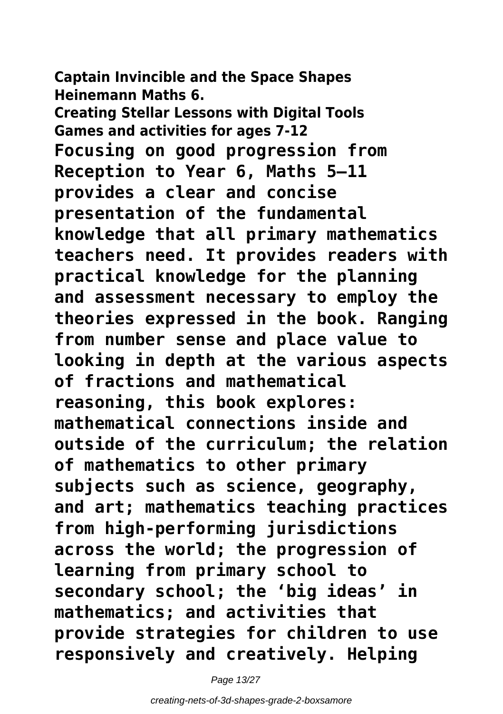**Captain Invincible and the Space Shapes Heinemann Maths 6. Creating Stellar Lessons with Digital Tools Games and activities for ages 7-12 Focusing on good progression from Reception to Year 6, Maths 5–11 provides a clear and concise presentation of the fundamental knowledge that all primary mathematics teachers need. It provides readers with practical knowledge for the planning and assessment necessary to employ the theories expressed in the book. Ranging from number sense and place value to looking in depth at the various aspects of fractions and mathematical reasoning, this book explores: mathematical connections inside and outside of the curriculum; the relation of mathematics to other primary subjects such as science, geography, and art; mathematics teaching practices from high-performing jurisdictions across the world; the progression of learning from primary school to secondary school; the 'big ideas' in mathematics; and activities that provide strategies for children to use responsively and creatively. Helping**

Page 13/27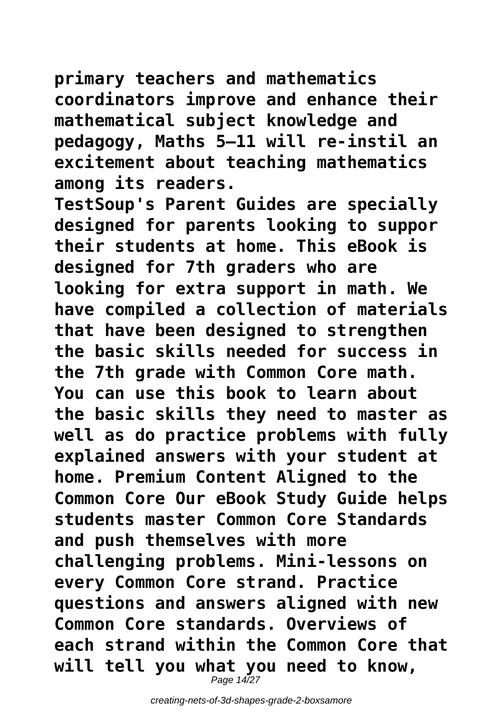**primary teachers and mathematics coordinators improve and enhance their mathematical subject knowledge and pedagogy, Maths 5–11 will re-instil an excitement about teaching mathematics among its readers.**

**TestSoup's Parent Guides are specially designed for parents looking to suppor their students at home. This eBook is designed for 7th graders who are looking for extra support in math. We have compiled a collection of materials that have been designed to strengthen the basic skills needed for success in the 7th grade with Common Core math. You can use this book to learn about the basic skills they need to master as well as do practice problems with fully explained answers with your student at home. Premium Content Aligned to the Common Core Our eBook Study Guide helps students master Common Core Standards and push themselves with more challenging problems. Mini-lessons on every Common Core strand. Practice questions and answers aligned with new Common Core standards. Overviews of each strand within the Common Core that will tell you what you need to know,** Page 14/27

creating-nets-of-3d-shapes-grade-2-boxsamore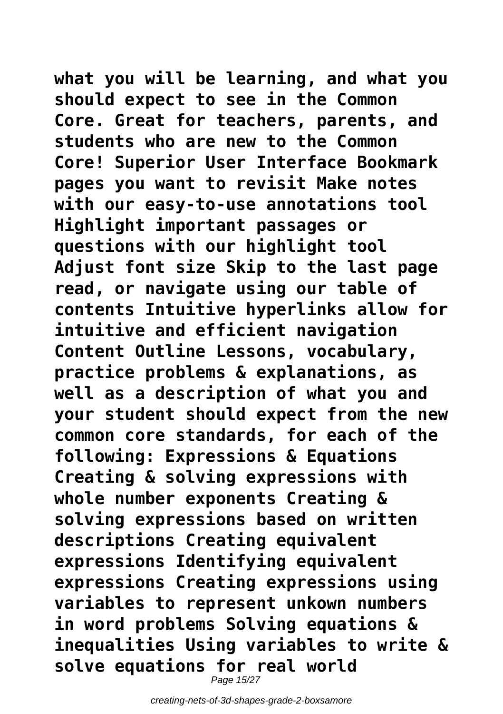**what you will be learning, and what you should expect to see in the Common Core. Great for teachers, parents, and students who are new to the Common Core! Superior User Interface Bookmark pages you want to revisit Make notes with our easy-to-use annotations tool Highlight important passages or questions with our highlight tool Adjust font size Skip to the last page read, or navigate using our table of contents Intuitive hyperlinks allow for intuitive and efficient navigation Content Outline Lessons, vocabulary, practice problems & explanations, as well as a description of what you and your student should expect from the new common core standards, for each of the following: Expressions & Equations Creating & solving expressions with whole number exponents Creating & solving expressions based on written descriptions Creating equivalent expressions Identifying equivalent expressions Creating expressions using variables to represent unkown numbers in word problems Solving equations & inequalities Using variables to write & solve equations for real world**

Page 15/27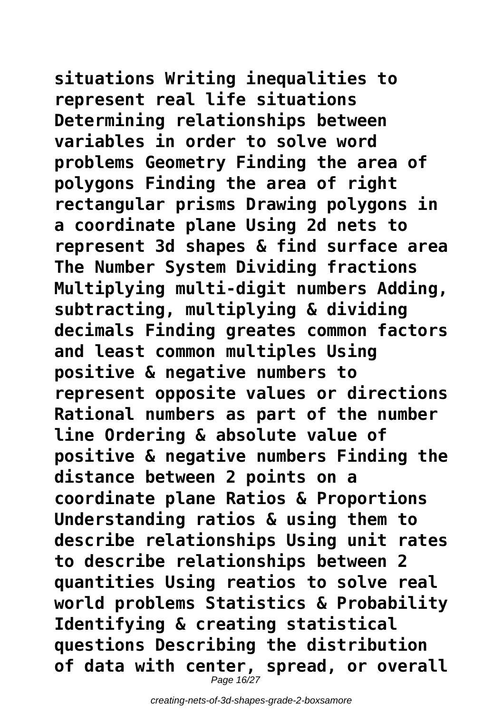**situations Writing inequalities to represent real life situations Determining relationships between variables in order to solve word problems Geometry Finding the area of polygons Finding the area of right rectangular prisms Drawing polygons in a coordinate plane Using 2d nets to represent 3d shapes & find surface area The Number System Dividing fractions Multiplying multi-digit numbers Adding, subtracting, multiplying & dividing decimals Finding greates common factors and least common multiples Using positive & negative numbers to represent opposite values or directions Rational numbers as part of the number line Ordering & absolute value of positive & negative numbers Finding the distance between 2 points on a coordinate plane Ratios & Proportions Understanding ratios & using them to describe relationships Using unit rates to describe relationships between 2 quantities Using reatios to solve real world problems Statistics & Probability Identifying & creating statistical questions Describing the distribution**

**of data with center, spread, or overall** Page 16/27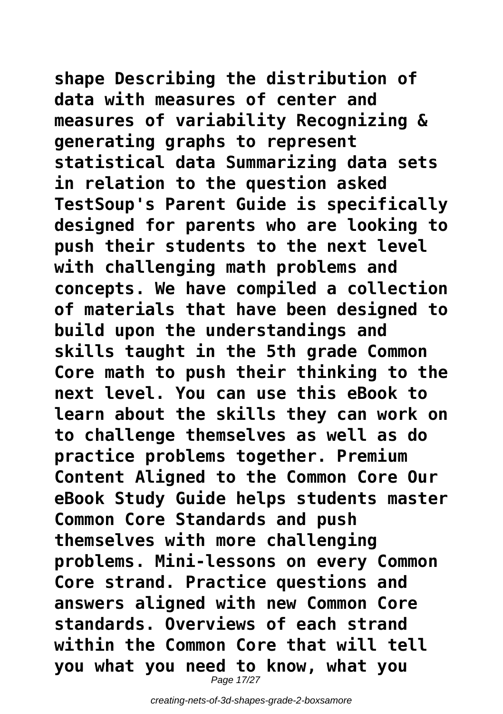**shape Describing the distribution of data with measures of center and measures of variability Recognizing & generating graphs to represent statistical data Summarizing data sets in relation to the question asked TestSoup's Parent Guide is specifically designed for parents who are looking to push their students to the next level with challenging math problems and concepts. We have compiled a collection of materials that have been designed to build upon the understandings and skills taught in the 5th grade Common Core math to push their thinking to the next level. You can use this eBook to learn about the skills they can work on to challenge themselves as well as do practice problems together. Premium Content Aligned to the Common Core Our eBook Study Guide helps students master Common Core Standards and push themselves with more challenging problems. Mini-lessons on every Common Core strand. Practice questions and answers aligned with new Common Core standards. Overviews of each strand within the Common Core that will tell you what you need to know, what you**

Page 17/27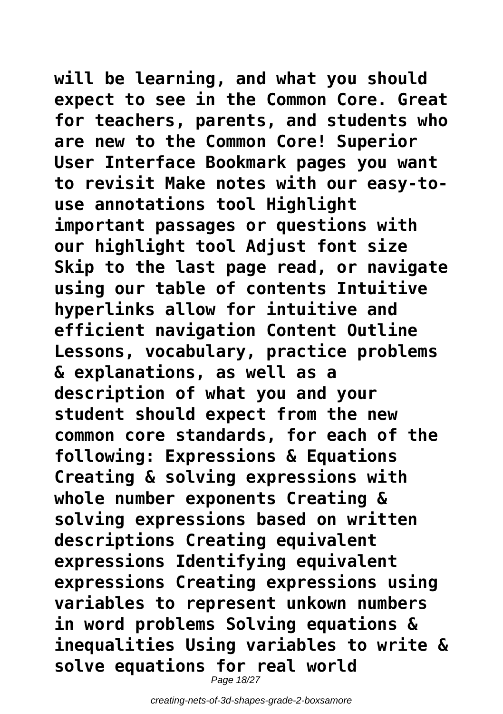**will be learning, and what you should expect to see in the Common Core. Great for teachers, parents, and students who are new to the Common Core! Superior User Interface Bookmark pages you want to revisit Make notes with our easy-touse annotations tool Highlight important passages or questions with our highlight tool Adjust font size Skip to the last page read, or navigate using our table of contents Intuitive hyperlinks allow for intuitive and efficient navigation Content Outline Lessons, vocabulary, practice problems & explanations, as well as a description of what you and your student should expect from the new common core standards, for each of the following: Expressions & Equations Creating & solving expressions with whole number exponents Creating & solving expressions based on written descriptions Creating equivalent expressions Identifying equivalent expressions Creating expressions using variables to represent unkown numbers in word problems Solving equations & inequalities Using variables to write & solve equations for real world**

Page 18/27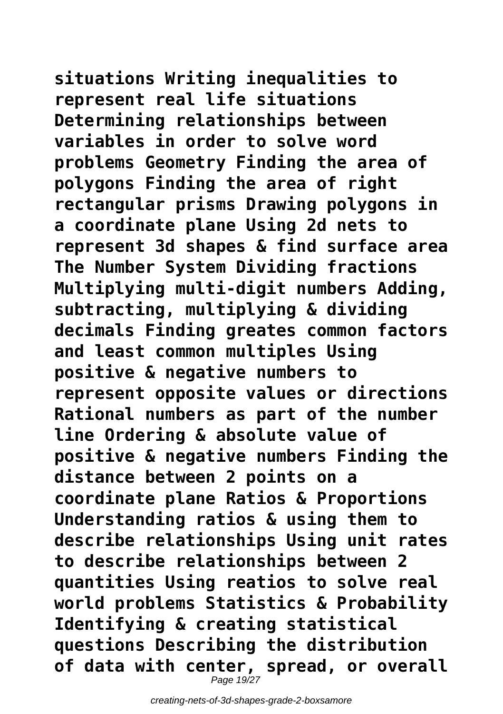**situations Writing inequalities to represent real life situations Determining relationships between variables in order to solve word problems Geometry Finding the area of polygons Finding the area of right rectangular prisms Drawing polygons in a coordinate plane Using 2d nets to represent 3d shapes & find surface area The Number System Dividing fractions Multiplying multi-digit numbers Adding, subtracting, multiplying & dividing decimals Finding greates common factors and least common multiples Using positive & negative numbers to represent opposite values or directions Rational numbers as part of the number line Ordering & absolute value of positive & negative numbers Finding the distance between 2 points on a coordinate plane Ratios & Proportions Understanding ratios & using them to describe relationships Using unit rates to describe relationships between 2 quantities Using reatios to solve real world problems Statistics & Probability Identifying & creating statistical questions Describing the distribution**

**of data with center, spread, or overall** Page 19/27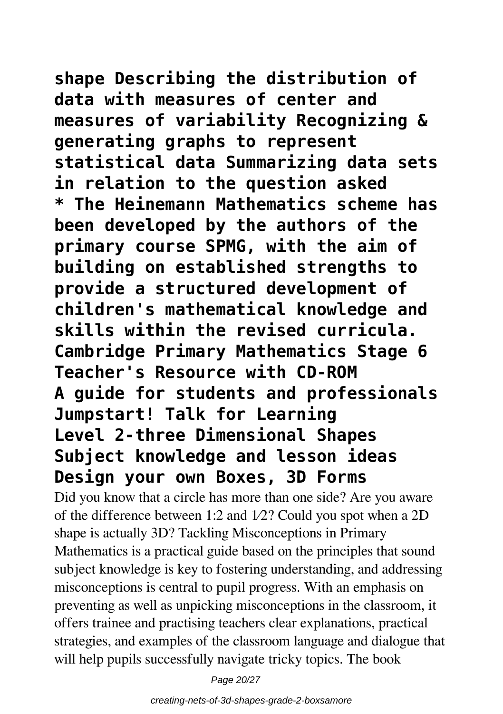**shape Describing the distribution of data with measures of center and measures of variability Recognizing & generating graphs to represent statistical data Summarizing data sets in relation to the question asked \* The Heinemann Mathematics scheme has been developed by the authors of the primary course SPMG, with the aim of building on established strengths to provide a structured development of children's mathematical knowledge and skills within the revised curricula. Cambridge Primary Mathematics Stage 6 Teacher's Resource with CD-ROM A guide for students and professionals Jumpstart! Talk for Learning Level 2-three Dimensional Shapes Subject knowledge and lesson ideas Design your own Boxes, 3D Forms**

Did you know that a circle has more than one side? Are you aware of the difference between 1:2 and 1⁄2? Could you spot when a 2D shape is actually 3D? Tackling Misconceptions in Primary Mathematics is a practical guide based on the principles that sound subject knowledge is key to fostering understanding, and addressing misconceptions is central to pupil progress. With an emphasis on preventing as well as unpicking misconceptions in the classroom, it offers trainee and practising teachers clear explanations, practical strategies, and examples of the classroom language and dialogue that will help pupils successfully navigate tricky topics. The book

Page 20/27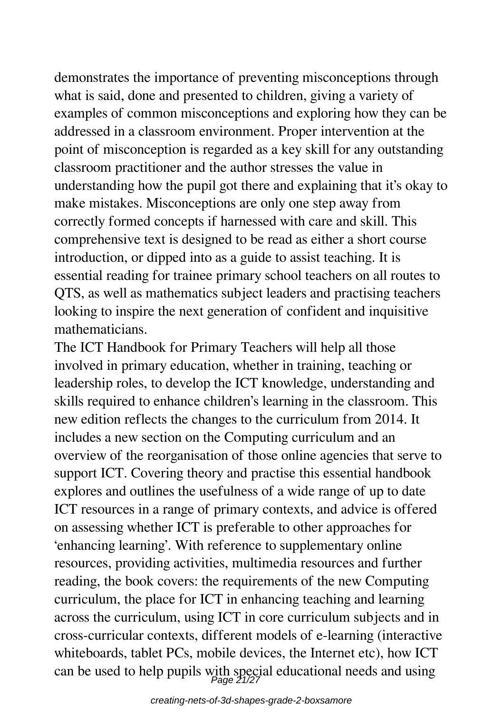demonstrates the importance of preventing misconceptions through what is said, done and presented to children, giving a variety of examples of common misconceptions and exploring how they can be addressed in a classroom environment. Proper intervention at the point of misconception is regarded as a key skill for any outstanding classroom practitioner and the author stresses the value in understanding how the pupil got there and explaining that it's okay to make mistakes. Misconceptions are only one step away from correctly formed concepts if harnessed with care and skill. This comprehensive text is designed to be read as either a short course introduction, or dipped into as a guide to assist teaching. It is essential reading for trainee primary school teachers on all routes to QTS, as well as mathematics subject leaders and practising teachers looking to inspire the next generation of confident and inquisitive mathematicians.

The ICT Handbook for Primary Teachers will help all those involved in primary education, whether in training, teaching or leadership roles, to develop the ICT knowledge, understanding and skills required to enhance children's learning in the classroom. This new edition reflects the changes to the curriculum from 2014. It includes a new section on the Computing curriculum and an overview of the reorganisation of those online agencies that serve to support ICT. Covering theory and practise this essential handbook explores and outlines the usefulness of a wide range of up to date ICT resources in a range of primary contexts, and advice is offered on assessing whether ICT is preferable to other approaches for 'enhancing learning'. With reference to supplementary online resources, providing activities, multimedia resources and further reading, the book covers: the requirements of the new Computing curriculum, the place for ICT in enhancing teaching and learning across the curriculum, using ICT in core curriculum subjects and in cross-curricular contexts, different models of e-learning (interactive whiteboards, tablet PCs, mobile devices, the Internet etc), how ICT can be used to help pupils with special educational needs and using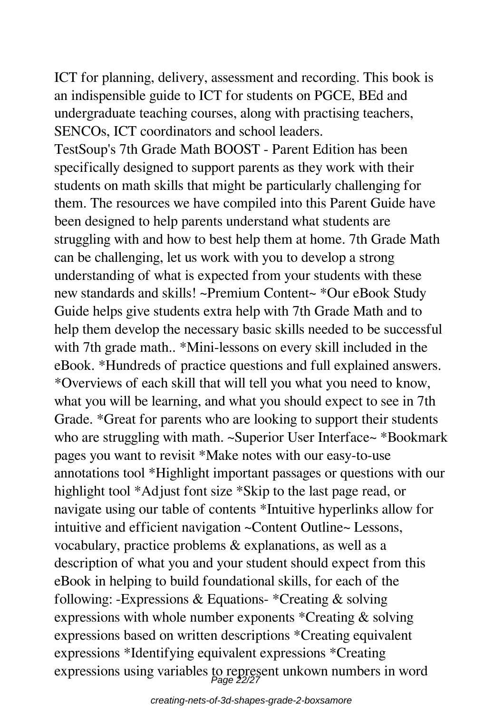ICT for planning, delivery, assessment and recording. This book is an indispensible guide to ICT for students on PGCE, BEd and undergraduate teaching courses, along with practising teachers, SENCOs, ICT coordinators and school leaders.

TestSoup's 7th Grade Math BOOST - Parent Edition has been specifically designed to support parents as they work with their students on math skills that might be particularly challenging for them. The resources we have compiled into this Parent Guide have been designed to help parents understand what students are struggling with and how to best help them at home. 7th Grade Math can be challenging, let us work with you to develop a strong understanding of what is expected from your students with these new standards and skills! ~Premium Content~ \*Our eBook Study Guide helps give students extra help with 7th Grade Math and to help them develop the necessary basic skills needed to be successful with 7th grade math.. \*Mini-lessons on every skill included in the eBook. \*Hundreds of practice questions and full explained answers. \*Overviews of each skill that will tell you what you need to know, what you will be learning, and what you should expect to see in 7th Grade. \*Great for parents who are looking to support their students who are struggling with math. ~Superior User Interface~ \*Bookmark pages you want to revisit \*Make notes with our easy-to-use annotations tool \*Highlight important passages or questions with our highlight tool \*Adjust font size \*Skip to the last page read, or navigate using our table of contents \*Intuitive hyperlinks allow for intuitive and efficient navigation ~Content Outline~ Lessons, vocabulary, practice problems & explanations, as well as a description of what you and your student should expect from this eBook in helping to build foundational skills, for each of the following: -Expressions & Equations- \*Creating & solving expressions with whole number exponents \*Creating & solving expressions based on written descriptions \*Creating equivalent expressions \*Identifying equivalent expressions \*Creating expressions using variables to represent unkown numbers in word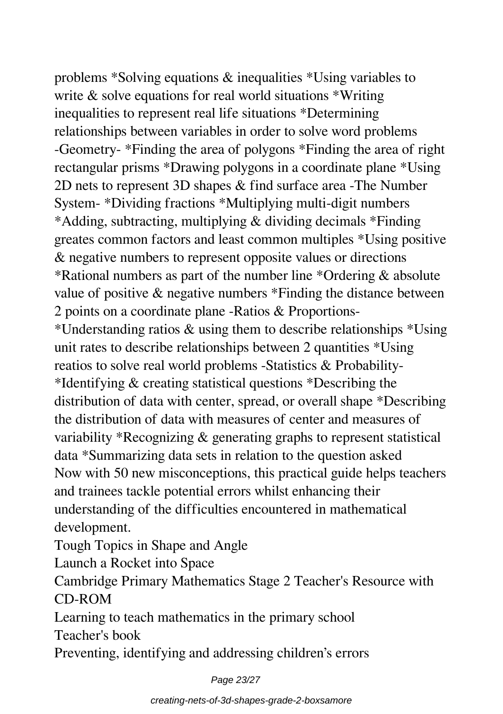problems \*Solving equations & inequalities \*Using variables to write & solve equations for real world situations \*Writing inequalities to represent real life situations \*Determining relationships between variables in order to solve word problems -Geometry- \*Finding the area of polygons \*Finding the area of right rectangular prisms \*Drawing polygons in a coordinate plane \*Using 2D nets to represent 3D shapes & find surface area -The Number System- \*Dividing fractions \*Multiplying multi-digit numbers \*Adding, subtracting, multiplying & dividing decimals \*Finding greates common factors and least common multiples \*Using positive & negative numbers to represent opposite values or directions \*Rational numbers as part of the number line \*Ordering & absolute value of positive & negative numbers \*Finding the distance between 2 points on a coordinate plane -Ratios & Proportions- \*Understanding ratios & using them to describe relationships \*Using unit rates to describe relationships between 2 quantities \*Using reatios to solve real world problems -Statistics & Probability- \*Identifying & creating statistical questions \*Describing the distribution of data with center, spread, or overall shape \*Describing the distribution of data with measures of center and measures of variability \*Recognizing & generating graphs to represent statistical data \*Summarizing data sets in relation to the question asked Now with 50 new misconceptions, this practical guide helps teachers and trainees tackle potential errors whilst enhancing their understanding of the difficulties encountered in mathematical development.

Tough Topics in Shape and Angle

Launch a Rocket into Space

Cambridge Primary Mathematics Stage 2 Teacher's Resource with CD-ROM

Learning to teach mathematics in the primary school

Teacher's book

Preventing, identifying and addressing children's errors

Page 23/27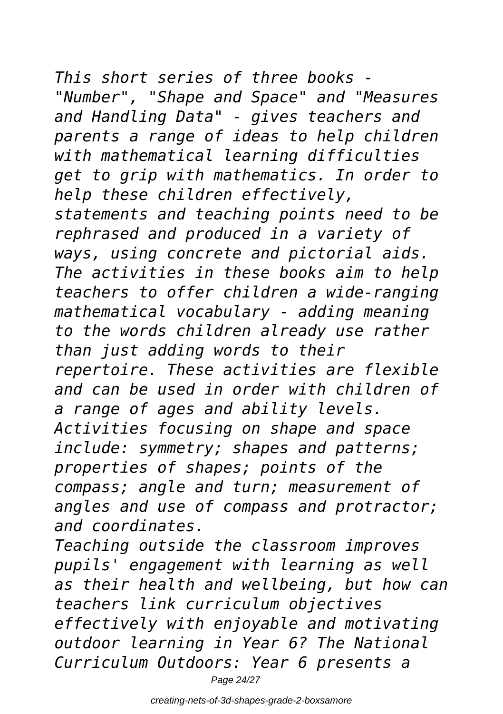*This short series of three books - "Number", "Shape and Space" and "Measures and Handling Data" - gives teachers and parents a range of ideas to help children with mathematical learning difficulties get to grip with mathematics. In order to help these children effectively, statements and teaching points need to be rephrased and produced in a variety of ways, using concrete and pictorial aids. The activities in these books aim to help teachers to offer children a wide-ranging mathematical vocabulary - adding meaning to the words children already use rather than just adding words to their repertoire. These activities are flexible and can be used in order with children of a range of ages and ability levels. Activities focusing on shape and space include: symmetry; shapes and patterns; properties of shapes; points of the compass; angle and turn; measurement of angles and use of compass and protractor; and coordinates. Teaching outside the classroom improves*

*Curriculum Outdoors: Year 6 presents a* Page 24/27

*pupils' engagement with learning as well as their health and wellbeing, but how can*

*effectively with enjoyable and motivating outdoor learning in Year 6? The National*

*teachers link curriculum objectives*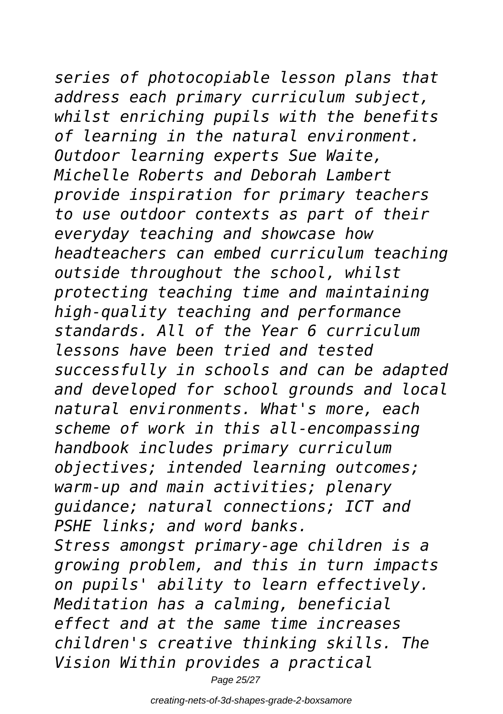## *series of photocopiable lesson plans that*

*address each primary curriculum subject, whilst enriching pupils with the benefits of learning in the natural environment. Outdoor learning experts Sue Waite, Michelle Roberts and Deborah Lambert provide inspiration for primary teachers to use outdoor contexts as part of their everyday teaching and showcase how headteachers can embed curriculum teaching outside throughout the school, whilst protecting teaching time and maintaining high-quality teaching and performance standards. All of the Year 6 curriculum lessons have been tried and tested successfully in schools and can be adapted and developed for school grounds and local natural environments. What's more, each scheme of work in this all-encompassing handbook includes primary curriculum objectives; intended learning outcomes; warm-up and main activities; plenary guidance; natural connections; ICT and PSHE links; and word banks. Stress amongst primary-age children is a growing problem, and this in turn impacts on pupils' ability to learn effectively. Meditation has a calming, beneficial effect and at the same time increases children's creative thinking skills. The*

*Vision Within provides a practical*

Page 25/27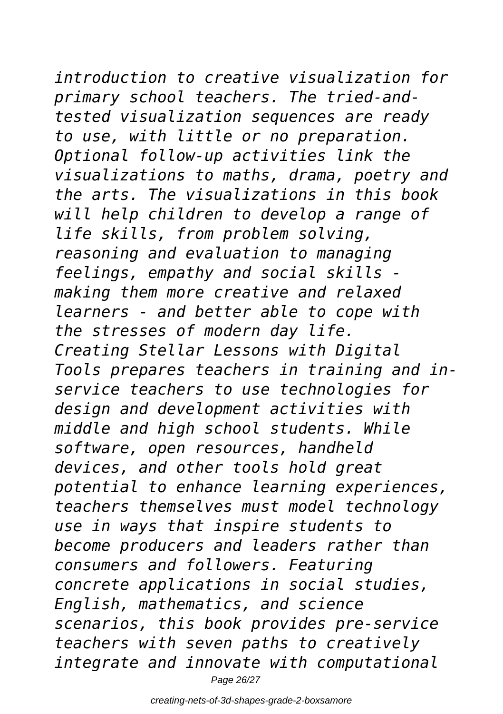## *introduction to creative visualization for*

*primary school teachers. The tried-andtested visualization sequences are ready to use, with little or no preparation. Optional follow-up activities link the visualizations to maths, drama, poetry and the arts. The visualizations in this book will help children to develop a range of life skills, from problem solving, reasoning and evaluation to managing feelings, empathy and social skills making them more creative and relaxed learners - and better able to cope with the stresses of modern day life. Creating Stellar Lessons with Digital Tools prepares teachers in training and inservice teachers to use technologies for design and development activities with middle and high school students. While software, open resources, handheld devices, and other tools hold great potential to enhance learning experiences, teachers themselves must model technology use in ways that inspire students to become producers and leaders rather than consumers and followers. Featuring concrete applications in social studies, English, mathematics, and science scenarios, this book provides pre-service teachers with seven paths to creatively integrate and innovate with computational* Page 26/27